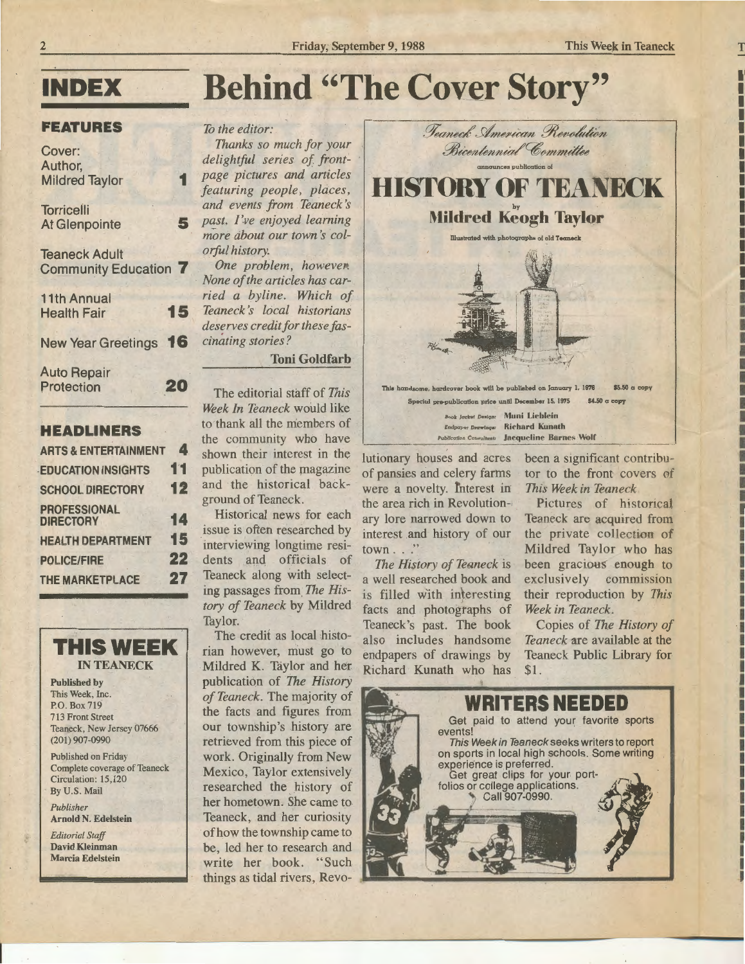## Behind "The Cover Story"

## *To the editor:*

*Thanks so much for your delightful series of frontpage pictures and articles featuring people, places,*  and events from Teaneck's past. I've enjoyed learning more *about our town's colorful history.* 

*One problem, however. None of the articles has carried a byline. Which of Teaneck 's local historians deserves credit for these fascinating stories?* 

## Toni Goldfarb

The editorial staff of *This*  Week In Teaneck would like to thank all the members of the community who have shown their interest in the publication of the magazine and the historical background of Teaneck.

Historical news for each issue is often researched by mterviewing longtime residents and officials of Teaneck along with selecting passages from. *The History of Teaneck* by Mildred Taylor.

The credit as local historian however, must go to Mildred K. Taylor and her publication of *The History of Teaneck.* The majority of the facts and figures from our township's history are retrieved from this piece of work. Originally from New Mexico, Taylor extensively researched the history of her hometown. She came to Teaneck, and her curiosity of how the township came to be, led her to research and write her book. "Such things as tidal rivers, Revo-



Book Jacket Design: Muni Lieblein Endpaper Drawings: Richard Kunath Publication Consultant: Jacqueline Barnes Wolf

lutionary houses and acres of pansies and celery farms were a novelty. fnterest in the area rich in Revolution- $\overline{a}$ ary lore narrowed down to interest and history of our town . . ."

*The History of Teaneck is* a well researched book and is filled with interesting facts and photographs of Teaneck's past. The book also includes handsome endpapers of drawings by Richard Kunath who has

been a significant contributor to the front covers of **This Week in Teaneck** 

Pictures of historical Teaneck are acquired from the private collection of Mildred Taylor who has been gracious enough to exclusively commission their reproduction by *This*  **Week in Teaneck.** 

Copies of *The History of Teaneck* are available at the Teaneck Public Library for \$1.